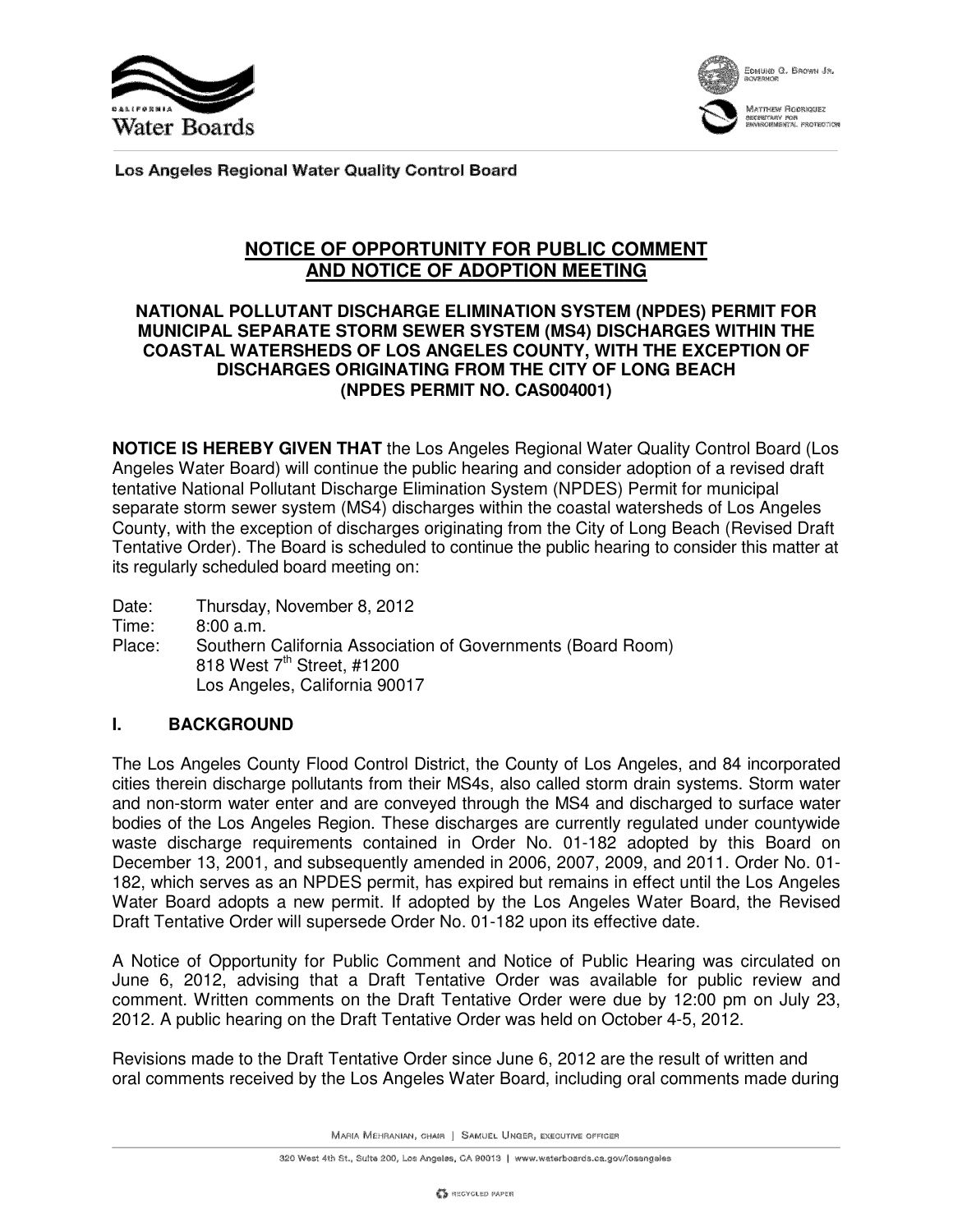



Los Angeles Regional Water Quality Control Board

# **NOTICE OF OPPORTUNITY FOR PUBLIC COMMENT AND NOTICE OF ADOPTION MEETING**

#### **NATIONAL POLLUTANT DISCHARGE ELIMINATION SYSTEM (NPDES) PERMIT FOR MUNICIPAL SEPARATE STORM SEWER SYSTEM (MS4) DISCHARGES WITHIN THE COASTAL WATERSHEDS OF LOS ANGELES COUNTY, WITH THE EXCEPTION OF DISCHARGES ORIGINATING FROM THE CITY OF LONG BEACH (NPDES PERMIT NO. CAS004001)**

**NOTICE IS HEREBY GIVEN THAT** the Los Angeles Regional Water Quality Control Board (Los Angeles Water Board) will continue the public hearing and consider adoption of a revised draft tentative National Pollutant Discharge Elimination System (NPDES) Permit for municipal separate storm sewer system (MS4) discharges within the coastal watersheds of Los Angeles County, with the exception of discharges originating from the City of Long Beach (Revised Draft Tentative Order). The Board is scheduled to continue the public hearing to consider this matter at its regularly scheduled board meeting on:

Date: Thursday, November 8, 2012

Time: 8:00 a.m.

Place: Southern California Association of Governments (Board Room) 818 West 7<sup>th</sup> Street, #1200 Los Angeles, California 90017

## **I. BACKGROUND**

The Los Angeles County Flood Control District, the County of Los Angeles, and 84 incorporated cities therein discharge pollutants from their MS4s, also called storm drain systems. Storm water and non-storm water enter and are conveyed through the MS4 and discharged to surface water bodies of the Los Angeles Region. These discharges are currently regulated under countywide waste discharge requirements contained in Order No. 01-182 adopted by this Board on December 13, 2001, and subsequently amended in 2006, 2007, 2009, and 2011. Order No. 01- 182, which serves as an NPDES permit, has expired but remains in effect until the Los Angeles Water Board adopts a new permit. If adopted by the Los Angeles Water Board, the Revised Draft Tentative Order will supersede Order No. 01-182 upon its effective date.

A Notice of Opportunity for Public Comment and Notice of Public Hearing was circulated on June 6, 2012, advising that a Draft Tentative Order was available for public review and comment. Written comments on the Draft Tentative Order were due by 12:00 pm on July 23, 2012. A public hearing on the Draft Tentative Order was held on October 4-5, 2012.

Revisions made to the Draft Tentative Order since June 6, 2012 are the result of written and oral comments received by the Los Angeles Water Board, including oral comments made during

MARIA MEHRANIAN, CHAIR | SAMUEL UNGER, EXECUTIVE OFFICER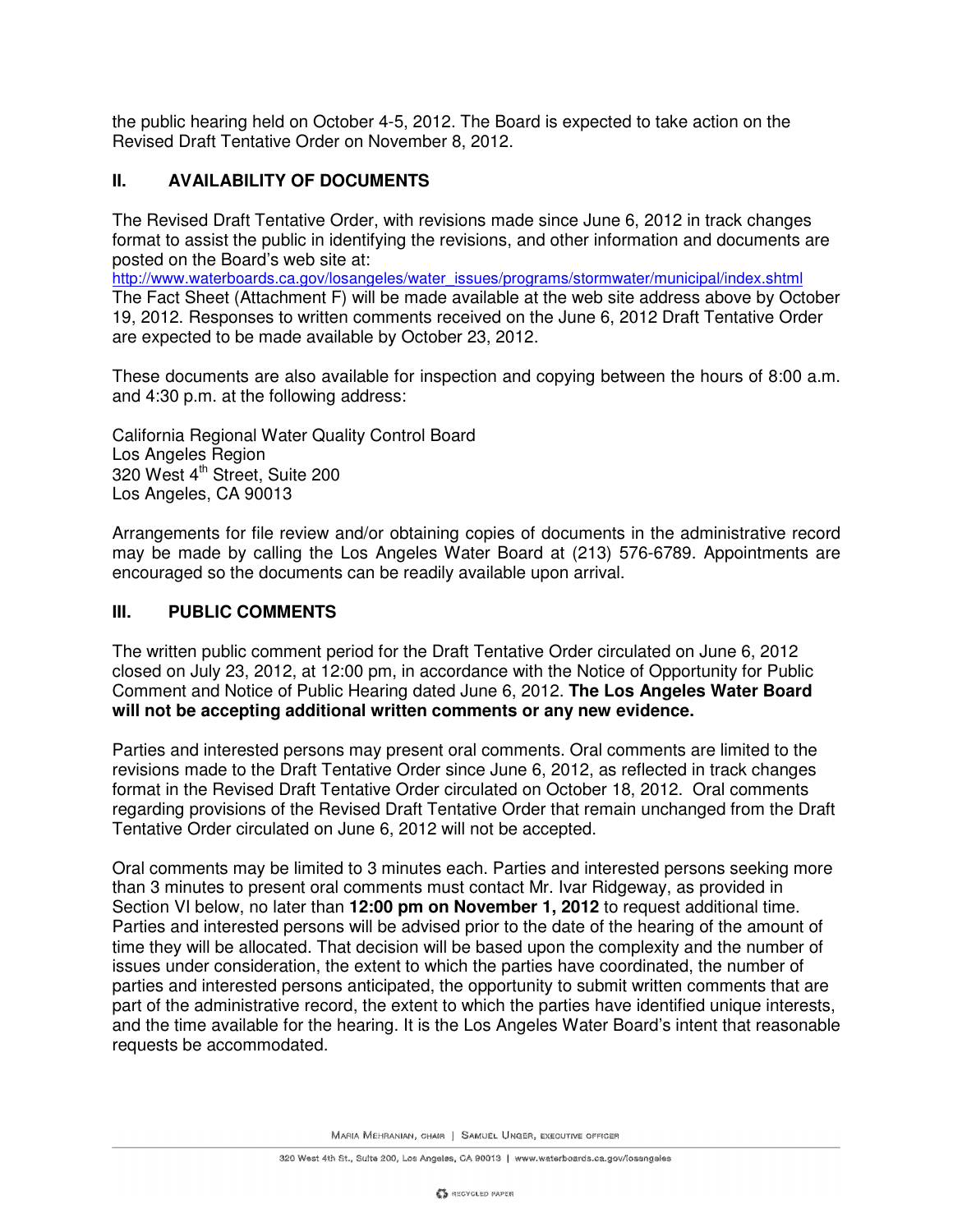the public hearing held on October 4-5, 2012. The Board is expected to take action on the Revised Draft Tentative Order on November 8, 2012.

# **II. AVAILABILITY OF DOCUMENTS**

The Revised Draft Tentative Order, with revisions made since June 6, 2012 in track changes format to assist the public in identifying the revisions, and other information and documents are posted on the Board's web site at:

http://www.waterboards.ca.gov/losangeles/water\_issues/programs/stormwater/municipal/index.shtml The Fact Sheet (Attachment F) will be made available at the web site address above by October 19, 2012. Responses to written comments received on the June 6, 2012 Draft Tentative Order are expected to be made available by October 23, 2012.

These documents are also available for inspection and copying between the hours of 8:00 a.m. and 4:30 p.m. at the following address:

California Regional Water Quality Control Board Los Angeles Region 320 West 4<sup>th</sup> Street, Suite 200 Los Angeles, CA 90013

Arrangements for file review and/or obtaining copies of documents in the administrative record may be made by calling the Los Angeles Water Board at (213) 576-6789. Appointments are encouraged so the documents can be readily available upon arrival.

#### **III. PUBLIC COMMENTS**

The written public comment period for the Draft Tentative Order circulated on June 6, 2012 closed on July 23, 2012, at 12:00 pm, in accordance with the Notice of Opportunity for Public Comment and Notice of Public Hearing dated June 6, 2012. **The Los Angeles Water Board will not be accepting additional written comments or any new evidence.** 

Parties and interested persons may present oral comments. Oral comments are limited to the revisions made to the Draft Tentative Order since June 6, 2012, as reflected in track changes format in the Revised Draft Tentative Order circulated on October 18, 2012. Oral comments regarding provisions of the Revised Draft Tentative Order that remain unchanged from the Draft Tentative Order circulated on June 6, 2012 will not be accepted.

Oral comments may be limited to 3 minutes each. Parties and interested persons seeking more than 3 minutes to present oral comments must contact Mr. Ivar Ridgeway, as provided in Section VI below, no later than **12:00 pm on November 1, 2012** to request additional time. Parties and interested persons will be advised prior to the date of the hearing of the amount of time they will be allocated. That decision will be based upon the complexity and the number of issues under consideration, the extent to which the parties have coordinated, the number of parties and interested persons anticipated, the opportunity to submit written comments that are part of the administrative record, the extent to which the parties have identified unique interests, and the time available for the hearing. It is the Los Angeles Water Board's intent that reasonable requests be accommodated.

MARIA MEHRANIAN, CHAIR | SAMUEL UNGER, EXECUTIVE OFFICER